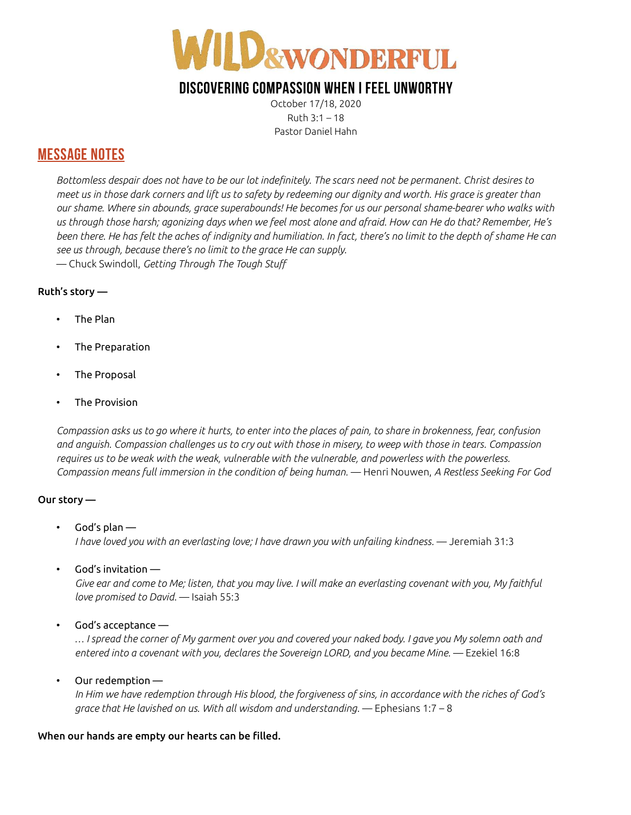

# DISCOVERING COMPASSION WHEN I FEEL UNWORTHY

October 17/18, 2020 Ruth 3:1 – 18 Pastor Daniel Hahn

### MESSAGE NOTES

Bottomless despair does not have to be our lot indefinitely. The scars need not be permanent. Christ desires to meet us in those dark corners and lift us to safety by redeeming our dignity and worth. His grace is greater than our shame. Where sin abounds, grace superabounds! He becomes for us our personal shame-bearer who walks with us through those harsh; agonizing days when we feel most alone and afraid. How can He do that? Remember, He's been there. He has felt the aches of indignity and humiliation. In fact, there's no limit to the depth of shame He can see us through, because there's no limit to the grace He can supply.

— Chuck Swindoll, Getting Through The Tough Stuff

### Ruth's story —

- The Plan
- The Preparation
- The Proposal
- The Provision

Compassion asks us to go where it hurts, to enter into the places of pain, to share in brokenness, fear, confusion and anguish. Compassion challenges us to cry out with those in misery, to weep with those in tears. Compassion requires us to be weak with the weak, vulnerable with the vulnerable, and powerless with the powerless. Compassion means full immersion in the condition of being human. — Henri Nouwen, A Restless Seeking For God

### Our story —

- God's plan  $-$ I have loved you with an everlasting love; I have drawn you with unfailing kindness. — Jeremiah 31:3
- God's invitation  $-$

 Give ear and come to Me; listen, that you may live. I will make an everlasting covenant with you, My faithful love promised to David. — Isaiah 55:3

God's acceptance  $-$ 

 … I spread the corner of My garment over you and covered your naked body. I gave you My solemn oath and entered into a covenant with you, declares the Sovereign LORD, and you became Mine. — Ezekiel 16:8

• Our redemption —

 In Him we have redemption through His blood, the forgiveness of sins, in accordance with the riches of God's grace that He lavished on us. With all wisdom and understanding. — Ephesians 1:7 – 8

#### When our hands are empty our hearts can be filled.